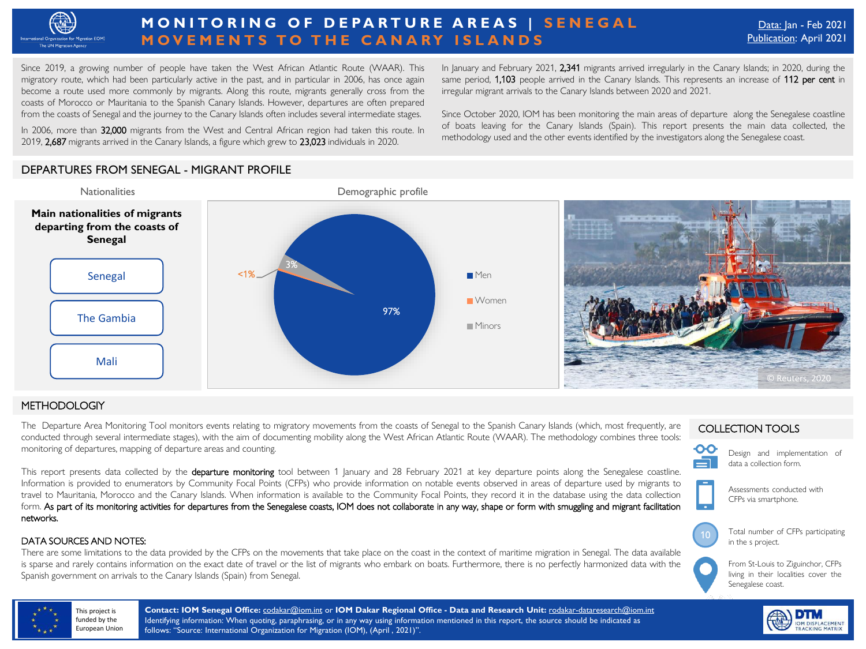

# **MONITORING OF DEPARTURE AREAS | SENEGAL MOVEMENTS TO THE CANARY ISLANDS**

Since 2019, a growing number of people have taken the West African Atlantic Route (WAAR). This migratory route, which had been particularly active in the past, and in particular in 2006, has once again become a route used more commonly by migrants. Along this route, migrants generally cross from the coasts of Morocco or Mauritania to the Spanish Canary Islands. However, departures are often prepared from the coasts of Senegal and the journey to the Canary Islands often includes several intermediate stages.

rrom the coasts or senegal and the journey to the Canary islands orten includes several intermediate stages.<br>In 2006, more than **32,000** migrants from the West and Central African region had taken this route. In 2019, 2,687 migrants arrived in the Canary Islands, a figure which grew to 23,023 individuals in 2020.

In January and February 2021, 2,341 migrants arrived irregularly in the Canary Islands; in 2020, during the same period, 1,103 people arrived in the Canary Islands. This represents an increase of 112 per cent in irregular migrant arrivals to the Canary Islands between 2020 and 2021.

Since October 2020, IOM has been monitoring the main areas of departure along the Senegalese coastline of boats leaving for the Canary Islands (Spain). This report presents the main data collected, the methodology used and the other events identified by the investigators along the Senegalese coast.

## DEPARTURES FROM SENEGAL - MIGRANT PROFILE



### METHODOLOGIY

The Departure Area Monitoring Tool monitors events relating to migratory movements from the coasts of Senegal to the Spanish Canary Islands (which, most frequently, are conducted through several intermediate stages), with the aim of documenting mobility along the West African Atlantic Route (WAAR). The methodology combines three tools: monitoring of departures, mapping of departure areas and counting.

This report presents data collected by the departure monitoring tool between 1 January and 28 February 2021 at key departure points along the Senegalese coastline. Information is provided to enumerators by Community Focal Points (CFPs) who provide information on notable events observed in areas of departure used by migrants to travel to Mauritania, Morocco and the Canary Islands. When information is available to the Community Focal Points, they record it in the database using the data collection form. As part of its monitoring activities for departures from the Senegalese coasts, IOM does not collaborate in any way, shape or form with smuggling and migrant facilitation networks.

#### DATA SOURCES AND NOTES:

There are some limitations to the data provided by the CFPs on the movements that take place on the coast in the context of maritime migration in Senegal. The data available is sparse and rarely contains information on the exact date of travel or the list of migrants who embark on boats. Furthermore, there is no perfectly harmonized data with the Spanish government on arrivals to the Canary Islands (Spain) from Senegal.

#### COLLECTION TOOLS

10

ဝဝ

Design and implementation of data a collection form.

Assessments conducted with CFPs via smartphone.

Total number of CFPs participating in the s project.





This project is funded by the European Union **Contact: IOM Senegal Office:** [codakar@iom.int](mailto:codakar@iom.int) or **IOM Dakar Regional Office - Data and Research Unit:** [rodakar-dataresearch@iom.int](mailto:rodakar-dataresearch@iom.int) Identifying information: When quoting, paraphrasing, or in any way using information mentioned in this report, the source should be indicated as follows: "Source: International Organization for Migration (IOM), (April , 2021)".